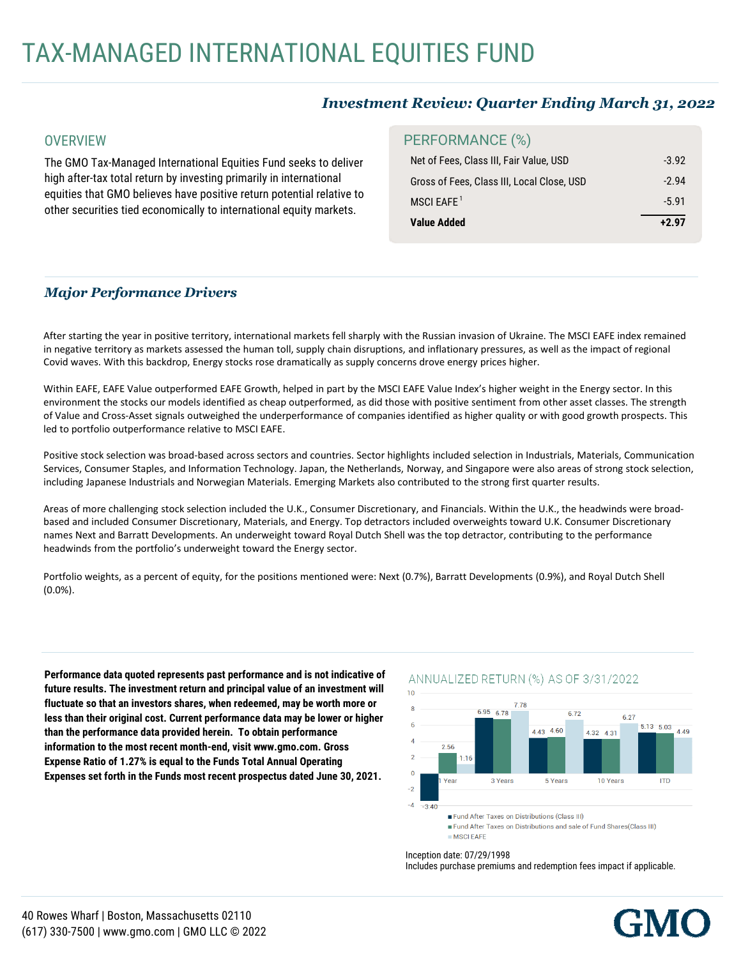# *Investment Review: Quarter Ending March 31, 2022*

### **OVERVIEW**

The GMO Tax-Managed International Equities Fund seeks to deliver high after-tax total return by investing primarily in international equities that GMO believes have positive return potential relative to other securities tied economically to international equity markets.

## PERFORMANCE (%)

| Net of Fees, Class III, Fair Value, USD    | $-3.92$ |
|--------------------------------------------|---------|
| Gross of Fees, Class III, Local Close, USD | $-294$  |
| MSCI EAFE $1$                              | $-5.91$ |
| Value Added                                | $+2.97$ |

# *Major Performance Drivers*

After starting the year in positive territory, international markets fell sharply with the Russian invasion of Ukraine. The MSCI EAFE index remained in negative territory as markets assessed the human toll, supply chain disruptions, and inflationary pressures, as well as the impact of regional Covid waves. With this backdrop, Energy stocks rose dramatically as supply concerns drove energy prices higher.

Within EAFE, EAFE Value outperformed EAFE Growth, helped in part by the MSCI EAFE Value Index's higher weight in the Energy sector. In this environment the stocks our models identified as cheap outperformed, as did those with positive sentiment from other asset classes. The strength of Value and Cross-Asset signals outweighed the underperformance of companies identified as higher quality or with good growth prospects. This led to portfolio outperformance relative to MSCI EAFE.

Positive stock selection was broad-based across sectors and countries. Sector highlights included selection in Industrials, Materials, Communication Services, Consumer Staples, and Information Technology. Japan, the Netherlands, Norway, and Singapore were also areas of strong stock selection, including Japanese Industrials and Norwegian Materials. Emerging Markets also contributed to the strong first quarter results.

Areas of more challenging stock selection included the U.K., Consumer Discretionary, and Financials. Within the U.K., the headwinds were broadbased and included Consumer Discretionary, Materials, and Energy. Top detractors included overweights toward U.K. Consumer Discretionary names Next and Barratt Developments. An underweight toward Royal Dutch Shell was the top detractor, contributing to the performance headwinds from the portfolio's underweight toward the Energy sector.

Portfolio weights, as a percent of equity, for the positions mentioned were: Next (0.7%), Barratt Developments (0.9%), and Royal Dutch Shell (0.0%).

Performance data quoted represents past performance and is not indicative of future results. The investment return and principal value of an investment will fluctuate so that an investors shares, when redeemed, may be worth more or less than their original cost. Current performance data may be lower or higher information to the most recent month-end, visit www.gmo.com. Gross **Expense Ratio of 1.27% is equal to the Funds Total Annual Operating** Expanses cat forth in the Eunds meet recent procpeatus dated. June 20, 202 Expenses set forth in the Funds most recent prospectus dated June 30, 2021. **than the performance data provided herein. To obtain performance**

### ANNUALIZED RETURN (%) AS OF 3/31/2022



#### Inception date: 07/29/1998

Includes purchase premiums and redemption fees impact if applicable.